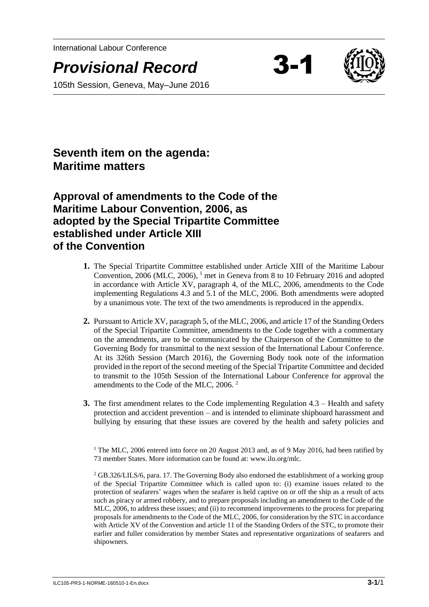International Labour Conference

**Provisional Record** 



105th Session, Geneva, May–June 2016

**Seventh item on the agenda: Maritime matters**

**Approval of amendments to the Code of the Maritime Labour Convention, 2006, as adopted by the Special Tripartite Committee established under Article XIII of the Convention**

- **1.** The Special Tripartite Committee established under Article XIII of the Maritime Labour Convention, 2006 (MLC, 2006), <sup>1</sup> met in Geneva from 8 to 10 February 2016 and adopted in accordance with Article XV, paragraph 4, of the MLC, 2006, amendments to the Code implementing Regulations 4.3 and 5.1 of the MLC, 2006. Both amendments were adopted by a unanimous vote. The text of the two amendments is reproduced in the appendix.
- **2.** Pursuant to Article XV, paragraph 5, of the MLC, 2006, and article 17 of the Standing Orders of the Special Tripartite Committee, amendments to the Code together with a commentary on the amendments, are to be communicated by the Chairperson of the Committee to the Governing Body for transmittal to the next session of the International Labour Conference. At its 326th Session (March 2016), the Governing Body took note of the information provided in the report of the second meeting of the Special Tripartite Committee and decided to transmit to the 105th Session of the International Labour Conference for approval the amendments to the Code of the MLC, 2006. <sup>2</sup>
- **3.** The first amendment relates to the Code implementing Regulation 4.3 Health and safety protection and accident prevention – and is intended to eliminate shipboard harassment and bullying by ensuring that these issues are covered by the health and safety policies and

<sup>1</sup> The MLC, 2006 entered into force on 20 August 2013 and, as of 9 May 2016, had been ratified by 73 member States. More information can be found at: www.ilo.org/mlc.

<sup>2</sup> GB.326/LILS/6, para. 17. The Governing Body also endorsed the establishment of a working group of the Special Tripartite Committee which is called upon to: (i) examine issues related to the protection of seafarers' wages when the seafarer is held captive on or off the ship as a result of acts such as piracy or armed robbery, and to prepare proposals including an amendment to the Code of the MLC, 2006, to address these issues; and (ii) to recommend improvements to the process for preparing proposals for amendments to the Code of the MLC, 2006, for consideration by the STC in accordance with Article XV of the Convention and article 11 of the Standing Orders of the STC, to promote their earlier and fuller consideration by member States and representative organizations of seafarers and shipowners.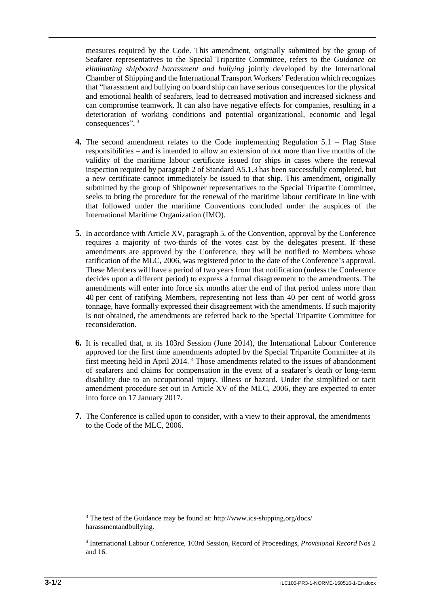measures required by the Code. This amendment, originally submitted by the group of Seafarer representatives to the Special Tripartite Committee, refers to the *Guidance on eliminating shipboard harassment and bullying* jointly developed by the International Chamber of Shipping and the International Transport Workers' Federation which recognizes that "harassment and bullying on board ship can have serious consequences for the physical and emotional health of seafarers, lead to decreased motivation and increased sickness and can compromise teamwork. It can also have negative effects for companies, resulting in a deterioration of working conditions and potential organizational, economic and legal consequences".<sup>3</sup>

- **4.** The second amendment relates to the Code implementing Regulation 5.1 Flag State responsibilities – and is intended to allow an extension of not more than five months of the validity of the maritime labour certificate issued for ships in cases where the renewal inspection required by paragraph 2 of Standard A5.1.3 has been successfully completed, but a new certificate cannot immediately be issued to that ship. This amendment, originally submitted by the group of Shipowner representatives to the Special Tripartite Committee, seeks to bring the procedure for the renewal of the maritime labour certificate in line with that followed under the maritime Conventions concluded under the auspices of the International Maritime Organization (IMO).
- **5.** In accordance with Article XV, paragraph 5, of the Convention, approval by the Conference requires a majority of two-thirds of the votes cast by the delegates present. If these amendments are approved by the Conference, they will be notified to Members whose ratification of the MLC, 2006, was registered prior to the date of the Conference's approval. These Members will have a period of two years from that notification (unless the Conference decides upon a different period) to express a formal disagreement to the amendments. The amendments will enter into force six months after the end of that period unless more than 40 per cent of ratifying Members, representing not less than 40 per cent of world gross tonnage, have formally expressed their disagreement with the amendments. If such majority is not obtained, the amendments are referred back to the Special Tripartite Committee for reconsideration.
- **6.** It is recalled that, at its 103rd Session (June 2014), the International Labour Conference approved for the first time amendments adopted by the Special Tripartite Committee at its first meeting held in April 2014. <sup>4</sup> Those amendments related to the issues of abandonment of seafarers and claims for compensation in the event of a seafarer's death or long-term disability due to an occupational injury, illness or hazard. Under the simplified or tacit amendment procedure set out in Article XV of the MLC, 2006, they are expected to enter into force on 17 January 2017.
- **7.** The Conference is called upon to consider, with a view to their approval, the amendments to the Code of the MLC, 2006.

<sup>3</sup> The text of the Guidance may be found at: http://www.ics-shipping.org/docs/ harassmentandbullying.

<sup>4</sup> International Labour Conference, 103rd Session, Record of Proceedings, *Provisional Record* Nos 2 and 16.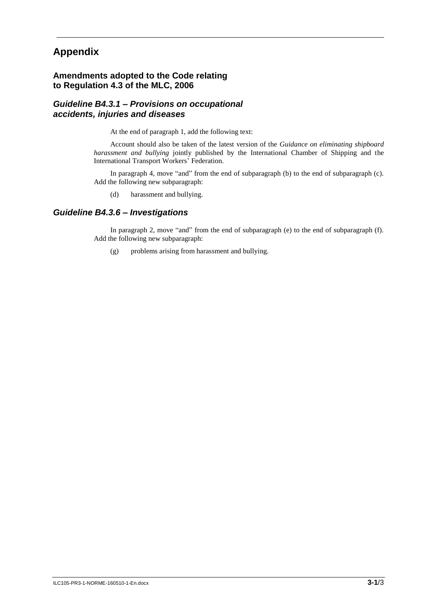# **Appendix**

# **Amendments adopted to the Code relating to Regulation 4.3 of the MLC, 2006**

## *Guideline B4.3.1 – Provisions on occupational accidents, injuries and diseases*

At the end of paragraph 1, add the following text:

Account should also be taken of the latest version of the *Guidance on eliminating shipboard harassment and bullying* jointly published by the International Chamber of Shipping and the International Transport Workers' Federation.

In paragraph 4, move "and" from the end of subparagraph (b) to the end of subparagraph (c). Add the following new subparagraph:

(d) harassment and bullying.

## *Guideline B4.3.6 – Investigations*

In paragraph 2, move "and" from the end of subparagraph (e) to the end of subparagraph (f). Add the following new subparagraph:

(g) problems arising from harassment and bullying.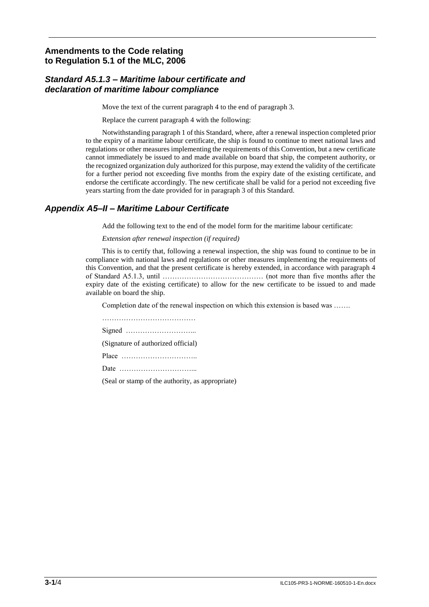# **Amendments to the Code relating to Regulation 5.1 of the MLC, 2006**

# *Standard A5.1.3 – Maritime labour certificate and declaration of maritime labour compliance*

Move the text of the current paragraph 4 to the end of paragraph 3.

Replace the current paragraph 4 with the following:

Notwithstanding paragraph 1 of this Standard, where, after a renewal inspection completed prior to the expiry of a maritime labour certificate, the ship is found to continue to meet national laws and regulations or other measures implementing the requirements of this Convention, but a new certificate cannot immediately be issued to and made available on board that ship, the competent authority, or the recognized organization duly authorized for this purpose, may extend the validity of the certificate for a further period not exceeding five months from the expiry date of the existing certificate, and endorse the certificate accordingly. The new certificate shall be valid for a period not exceeding five years starting from the date provided for in paragraph 3 of this Standard.

# *Appendix A5–II – Maritime Labour Certificate*

Add the following text to the end of the model form for the maritime labour certificate:

*Extension after renewal inspection (if required)*

This is to certify that, following a renewal inspection, the ship was found to continue to be in compliance with national laws and regulations or other measures implementing the requirements of this Convention, and that the present certificate is hereby extended, in accordance with paragraph 4 of Standard A5.1.3, until …………………………………… (not more than five months after the expiry date of the existing certificate) to allow for the new certificate to be issued to and made available on board the ship.

Completion date of the renewal inspection on which this extension is based was …….

………………………………… Signed ………………………... (Signature of authorized official) Place ………………………….. Date …………………………...

(Seal or stamp of the authority, as appropriate)